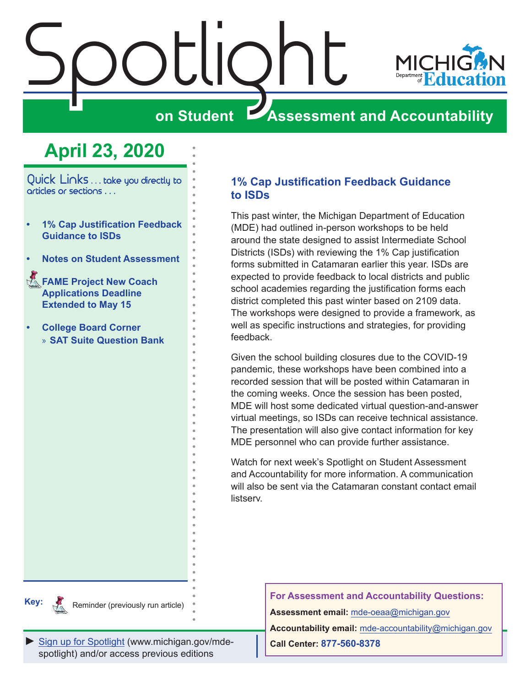<span id="page-0-0"></span>



# **on Student Assessment and Accountability**

# **April 23, 2020**

Quick Links ... take you directly to articles or sections . . .

- **• 1% Cap Justification Feedback Guidance to ISDs**
- **• [Notes on Student Assessment](#page-1-0)**
- **FAME Project New Coach [Applications Deadline](#page-1-0)  [Extended to May 15](#page-1-0)**
- **• [College Board Corner](#page-2-0)**  » **[SAT Suite Question Bank](#page-2-0)**

**1% Cap Justification Feedback Guidance to ISDs**

This past winter, the Michigan Department of Education (MDE) had outlined in-person workshops to be held around the state designed to assist Intermediate School Districts (ISDs) with reviewing the 1% Cap justification forms submitted in Catamaran earlier this year. ISDs are expected to provide feedback to local districts and public school academies regarding the justification forms each district completed this past winter based on 2109 data. The workshops were designed to provide a framework, as well as specific instructions and strategies, for providing feedback.

Given the school building closures due to the COVID-19 pandemic, these workshops have been combined into a recorded session that will be posted within Catamaran in the coming weeks. Once the session has been posted, MDE will host some dedicated virtual question-and-answer virtual meetings, so ISDs can receive technical assistance. The presentation will also give contact information for key MDE personnel who can provide further assistance.

Watch for next week's Spotlight on Student Assessment and Accountability for more information. A communication will also be sent via the Catamaran constant contact email listserv.

**Key:** Reminders

Reminder (previously run article)

**For Assessment and Accountability Questions:**

**Assessment email:** mde-oeaa[@michigan.gov](mailto:mde-oeaa%40michigan.gov?subject=assessment%20question)

*►* [Sign up for Spotlight](https://public.govdelivery.com/accounts/MIMDE/subscriber/new) [\(www.michigan.gov/mde](www.michigan.gov/mde-spotlight)spotlight) and/or access previous editions

**Accountability email:** mde[-accountability@michigan.gov](mailto:MDE-Accountability%40michigan.gov?subject=Accountability%20question)

**Call Center: 877-560-8378**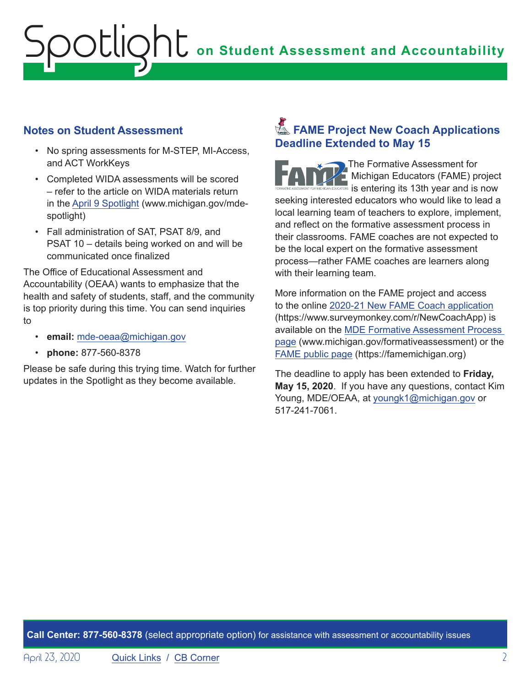# <span id="page-1-0"></span>**ONE** on Student Assessment and Accountability potlic

## **Notes on Student Assessment**

- No spring assessments for M-STEP, MI-Access, and ACT WorkKeys
- Completed WIDA assessments will be scored – refer to the article on WIDA materials return in the [April 9 Spotlight](https://www.michigan.gov/documents/mde/Spotlight_4-9-20_686552_7.pdf) (www.michigan.gov/mdespotlight)
- Fall administration of SAT, PSAT 8/9, and PSAT 10 – details being worked on and will be communicated once finalized

The Office of Educational Assessment and Accountability (OEAA) wants to emphasize that the health and safety of students, staff, and the community is top priority during this time. You can send inquiries to

- **email:** [mde-oeaa@michigan.gov](mailto:mde-oeaa%40michigan.gov?subject=)
- **phone:** 877-560-8378

Please be safe during this trying time. Watch for further updates in the Spotlight as they become available.

## **Extending FAME Project New Coach Applications Deadline Extended to May 15**

The Formative Assessment for Michigan Educators (FAME) project **is a contract of the U.S. As a contract of the U.S. As a contract of the U.S. As a contract of the U.S. As a contract of the U.S. As a contract of the U.S. As a contract of the U.S. As a contract of the U.S. As a contract** seeking interested educators who would like to lead a local learning team of teachers to explore, implement, and reflect on the formative assessment process in their classrooms. FAME coaches are not expected to be the local expert on the formative assessment process—rather FAME coaches are learners along with their learning team.

More information on the FAME project and access to the online [2020-21 New FAME Coach application](https://www.surveymonkey.com/r/NewCoachApp) (https://www.surveymonkey.com/r/NewCoachApp) is available on the [MDE Formative Assessment Process](http://www.michigan.gov/formativeassessment)  [page](http://www.michigan.gov/formativeassessment) (www.michigan.gov/formativeassessment) or the [FAME public page](https://famemichigan.org) (https://famemichigan.org)

The deadline to apply has been extended to **Friday, May 15, 2020**. If you have any questions, contact Kim Young, MDE/OEAA, at [youngk1@michigan.gov](mailto:youngk1%40michigan.gov?subject=) or 517-241-7061.

**Call Center: 877-560-8378** (select appropriate option) for assistance with assessment or accountability issues